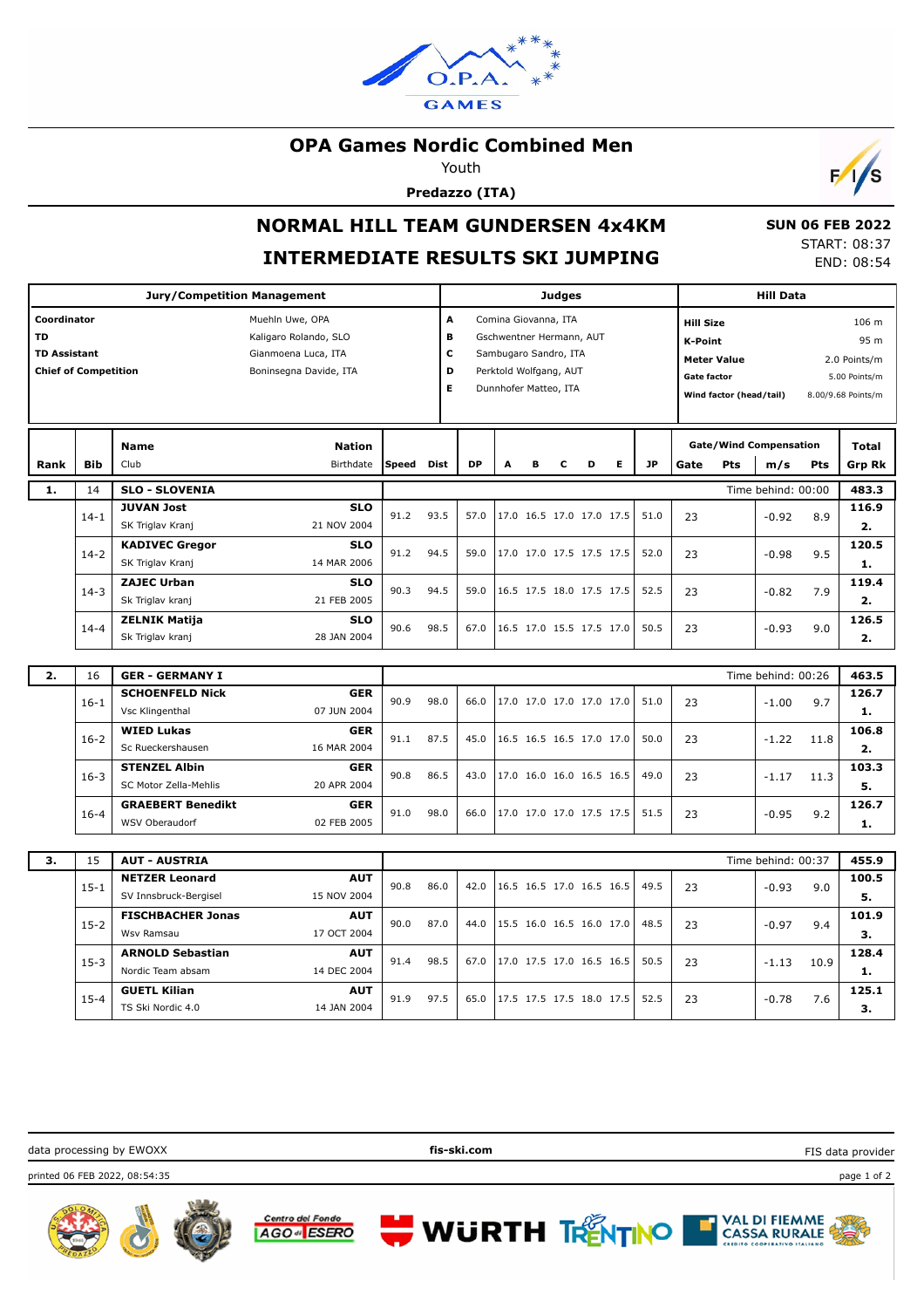

### **OPA Games Nordic Combined Men**

Youth

**Predazzo (ITA)**



# **NORMAL HILL TEAM GUNDERSEN 4x4KM INTERMEDIATE RESULTS SKI JUMPING**

 **SUN 06 FEB 2022** START: 08:37 END: 08:54

|                                                                                                                                                                             |            | <b>Jury/Competition Management</b>            |                                                                                                              |      |      | <b>Judges</b>                                                                                                                                          |  |  |  |                          |  |      |                                                                                                                                                                                   | <b>Hill Data</b>                                                      |                    |      |                |
|-----------------------------------------------------------------------------------------------------------------------------------------------------------------------------|------------|-----------------------------------------------|--------------------------------------------------------------------------------------------------------------|------|------|--------------------------------------------------------------------------------------------------------------------------------------------------------|--|--|--|--------------------------|--|------|-----------------------------------------------------------------------------------------------------------------------------------------------------------------------------------|-----------------------------------------------------------------------|--------------------|------|----------------|
| Coordinator<br>Muehln Uwe, OPA<br><b>TD</b><br>Kaligaro Rolando, SLO<br><b>TD Assistant</b><br>Gianmoena Luca, ITA<br><b>Chief of Competition</b><br>Boninsegna Davide, ITA |            |                                               |                                                                                                              |      |      | A<br>Comina Giovanna, ITA<br>в<br>Gschwentner Hermann, AUT<br>c<br>Sambugaro Sandro, ITA<br>D<br>Perktold Wolfgang, AUT<br>E.<br>Dunnhofer Matteo, ITA |  |  |  |                          |  |      | <b>Hill Size</b><br>106 m<br>95 m<br><b>K-Point</b><br><b>Meter Value</b><br>2.0 Points/m<br><b>Gate factor</b><br>5.00 Points/m<br>Wind factor (head/tail)<br>8.00/9.68 Points/m |                                                                       |                    |      |                |
| Rank                                                                                                                                                                        | <b>Bib</b> | <b>Name</b><br>Club                           | <b>Nation</b><br><b>DP</b><br><b>JP</b><br>Birthdate<br><b>Speed</b><br><b>Dist</b><br>A<br>Е<br>в<br>С<br>D |      |      |                                                                                                                                                        |  |  |  |                          |  | Gate | Pts                                                                                                                                                                               | <b>Gate/Wind Compensation</b><br>Total<br>m/s<br><b>Pts</b><br>Grp Rk |                    |      |                |
| 1.                                                                                                                                                                          | 14         | <b>SLO - SLOVENIA</b>                         |                                                                                                              |      |      |                                                                                                                                                        |  |  |  |                          |  |      |                                                                                                                                                                                   |                                                                       | Time behind: 00:00 |      | 483.3          |
|                                                                                                                                                                             | $14 - 1$   | <b>JUVAN Jost</b><br>SK Triglav Kranj         | <b>SLO</b><br>21 NOV 2004                                                                                    | 91.2 | 93.5 | 57.0                                                                                                                                                   |  |  |  | 17.0 16.5 17.0 17.0 17.5 |  | 51.0 | 23                                                                                                                                                                                |                                                                       | $-0.92$            | 8.9  | 116.9<br>2.    |
|                                                                                                                                                                             | $14 - 2$   | <b>KADIVEC Gregor</b><br>SK Triglav Kranj     | <b>SLO</b><br>14 MAR 2006                                                                                    | 91.2 | 94.5 | 59.0                                                                                                                                                   |  |  |  | 17.0 17.0 17.5 17.5 17.5 |  | 52.0 | 23                                                                                                                                                                                |                                                                       | $-0.98$            | 9.5  | 120.5<br>1.    |
|                                                                                                                                                                             | $14 - 3$   | <b>ZAJEC Urban</b><br>Sk Triglav kranj        | <b>SLO</b><br>21 FEB 2005                                                                                    | 90.3 | 94.5 | 59.0                                                                                                                                                   |  |  |  | 16.5 17.5 18.0 17.5 17.5 |  | 52.5 | 23                                                                                                                                                                                |                                                                       | $-0.82$            | 7.9  | 119.4<br>2.    |
|                                                                                                                                                                             | $14 - 4$   | <b>ZELNIK Matija</b><br>Sk Triglav kranj      | <b>SLO</b><br>28 JAN 2004                                                                                    | 90.6 | 98.5 | 67.0                                                                                                                                                   |  |  |  | 16.5 17.0 15.5 17.5 17.0 |  | 50.5 | 23                                                                                                                                                                                |                                                                       | $-0.93$            | 9.0  | 126.5<br>2.    |
| 2.                                                                                                                                                                          | 16         | <b>GER - GERMANY I</b>                        |                                                                                                              |      |      |                                                                                                                                                        |  |  |  |                          |  |      |                                                                                                                                                                                   |                                                                       | Time behind: 00:26 |      | 463.5          |
|                                                                                                                                                                             | $16 - 1$   | <b>SCHOENFELD Nick</b><br>Vsc Klingenthal     | <b>GER</b><br>07 JUN 2004                                                                                    | 90.9 | 98.0 | 66.0                                                                                                                                                   |  |  |  | 17.0 17.0 17.0 17.0 17.0 |  | 51.0 | 23                                                                                                                                                                                |                                                                       | $-1.00$            | 9.7  | 126.7<br>1.    |
|                                                                                                                                                                             | $16 - 2$   | <b>WIED Lukas</b><br>Sc Rueckershausen        | <b>GER</b><br>16 MAR 2004                                                                                    | 91.1 | 87.5 | 45.0                                                                                                                                                   |  |  |  | 16.5 16.5 16.5 17.0 17.0 |  | 50.0 | 23                                                                                                                                                                                |                                                                       | $-1.22$            | 11.8 | 106.8<br>2.    |
|                                                                                                                                                                             | $16 - 3$   | <b>STENZEL Albin</b><br>SC Motor Zella-Mehlis | <b>GER</b><br>20 APR 2004                                                                                    | 90.8 | 86.5 | 43.0                                                                                                                                                   |  |  |  | 17.0 16.0 16.0 16.5 16.5 |  | 49.0 | 23                                                                                                                                                                                |                                                                       | $-1.17$            | 11.3 | 103.3<br>5.    |
|                                                                                                                                                                             | $16 - 4$   | <b>GRAEBERT Benedikt</b><br>WSV Oberaudorf    | <b>GER</b><br>02 FEB 2005                                                                                    | 91.0 | 98.0 | 66.0                                                                                                                                                   |  |  |  | 17.0 17.0 17.0 17.5 17.5 |  | 51.5 | 23                                                                                                                                                                                |                                                                       | $-0.95$            | 9.2  | 126.7<br>1.    |
|                                                                                                                                                                             |            |                                               |                                                                                                              |      |      |                                                                                                                                                        |  |  |  |                          |  |      |                                                                                                                                                                                   |                                                                       |                    |      |                |
| 3.                                                                                                                                                                          | 15         | <b>AUT - AUSTRIA</b><br><b>NETZER Leonard</b> | <b>AUT</b>                                                                                                   |      |      |                                                                                                                                                        |  |  |  |                          |  |      |                                                                                                                                                                                   |                                                                       | Time behind: 00:37 |      | 455.9<br>100.5 |
|                                                                                                                                                                             | $15 - 1$   | SV Innsbruck-Bergisel                         | 15 NOV 2004                                                                                                  | 90.8 | 86.0 | 42.0                                                                                                                                                   |  |  |  | 16.5 16.5 17.0 16.5 16.5 |  | 49.5 | 23                                                                                                                                                                                |                                                                       | $-0.93$            | 9.0  | 5.             |
|                                                                                                                                                                             | $15 - 2$   | <b>FISCHBACHER Jonas</b><br>Wsv Ramsau        | <b>AUT</b><br>17 OCT 2004                                                                                    | 90.0 | 87.0 | 44.0                                                                                                                                                   |  |  |  | 15.5 16.0 16.5 16.0 17.0 |  | 48.5 | 23                                                                                                                                                                                |                                                                       | $-0.97$            | 9.4  | 101.9<br>3.    |
|                                                                                                                                                                             | $15-3$     | <b>ARNOLD Sebastian</b><br>Nordic Team absam  | <b>AUT</b><br>14 DEC 2004                                                                                    | 91.4 | 98.5 | 67.0                                                                                                                                                   |  |  |  | 17.0 17.5 17.0 16.5 16.5 |  | 50.5 | 23                                                                                                                                                                                |                                                                       | $-1.13$            | 10.9 | 128.4<br>1.    |
|                                                                                                                                                                             | $15 - 4$   | <b>GUETL Kilian</b><br>TS Ski Nordic 4.0      | <b>AUT</b><br>14 JAN 2004                                                                                    | 91.9 | 97.5 | 65.0                                                                                                                                                   |  |  |  | 17.5 17.5 17.5 18.0 17.5 |  | 52.5 | 23                                                                                                                                                                                |                                                                       | $-0.78$            | 7.6  | 125.1<br>3.    |

data processing by EWOXX **fis-ski.com** FIS data provider

printed 06 FEB 2022, 08:54:35 page 1 of 2









**3.**